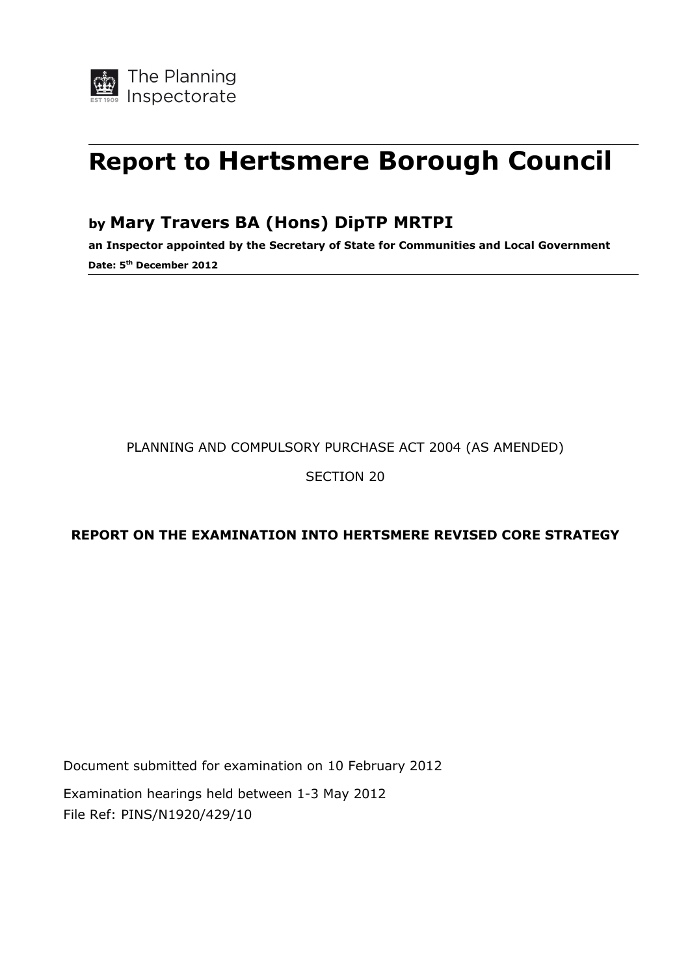# **Report to Hertsmere Borough Council**

### **by Mary Travers BA (Hons) DipTP MRTPI**

**an Inspector appointed by the Secretary of State for Communities and Local Government Date: 5th December 2012**

#### PLANNING AND COMPULSORY PURCHASE ACT 2004 (AS AMENDED)

#### SECTION 20

#### **REPORT ON THE EXAMINATION INTO HERTSMERE REVISED CORE STRATEGY**

Document submitted for examination on 10 February 2012

Examination hearings held between 1-3 May 2012 File Ref: PINS/N1920/429/10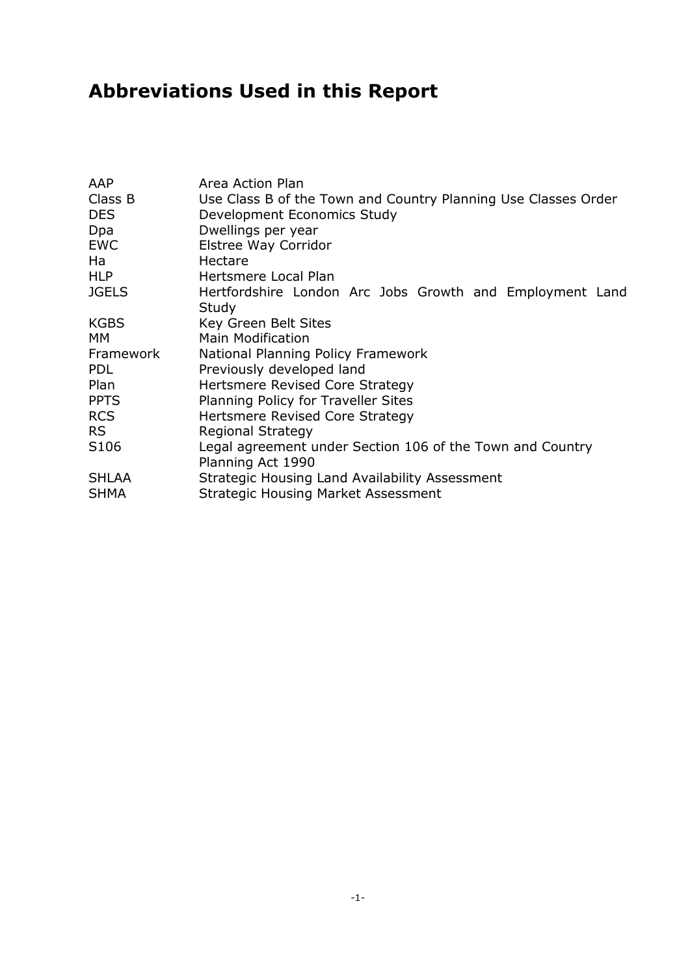# **Abbreviations Used in this Report**

| AAP          | Area Action Plan                                               |  |  |
|--------------|----------------------------------------------------------------|--|--|
| Class B      | Use Class B of the Town and Country Planning Use Classes Order |  |  |
| <b>DES</b>   | Development Economics Study                                    |  |  |
| Dpa          | Dwellings per year                                             |  |  |
| EWC          | Elstree Way Corridor                                           |  |  |
| Ha           | Hectare                                                        |  |  |
| HLP          | Hertsmere Local Plan                                           |  |  |
| <b>JGELS</b> | Hertfordshire London Arc Jobs Growth and Employment Land       |  |  |
|              | Study                                                          |  |  |
| KGBS         | Key Green Belt Sites                                           |  |  |
| MМ           | <b>Main Modification</b>                                       |  |  |
| Framework    | National Planning Policy Framework                             |  |  |
| <b>PDL</b>   | Previously developed land                                      |  |  |
| Plan         | Hertsmere Revised Core Strategy                                |  |  |
| <b>PPTS</b>  | Planning Policy for Traveller Sites                            |  |  |
| <b>RCS</b>   | Hertsmere Revised Core Strategy                                |  |  |
| RS.          | <b>Regional Strategy</b>                                       |  |  |
| S106         | Legal agreement under Section 106 of the Town and Country      |  |  |
|              | Planning Act 1990                                              |  |  |
| SHLAA        | Strategic Housing Land Availability Assessment                 |  |  |
| SHMA         | <b>Strategic Housing Market Assessment</b>                     |  |  |
|              |                                                                |  |  |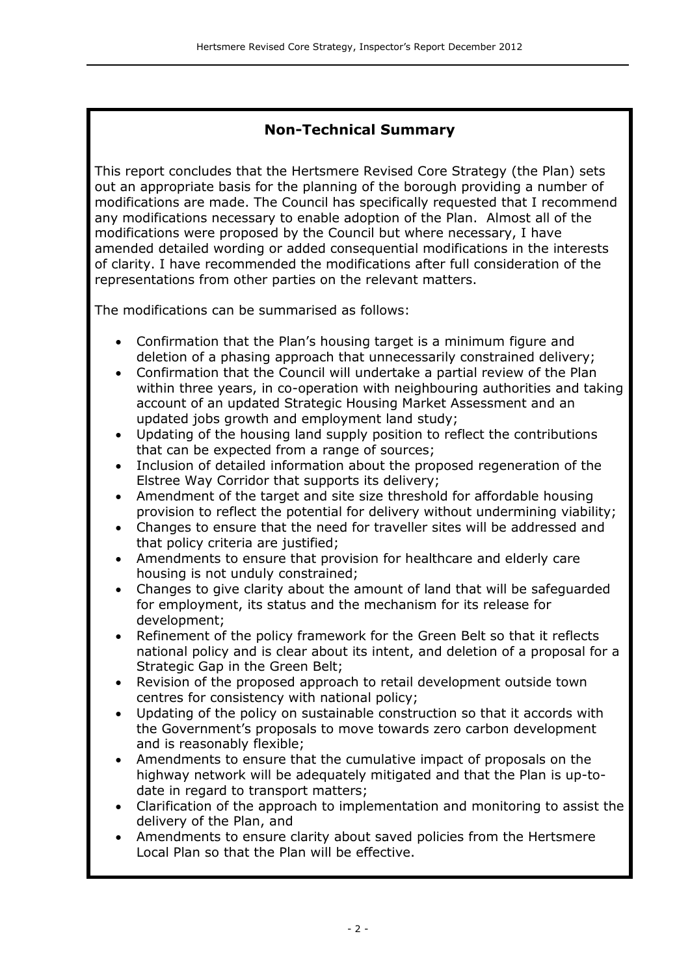#### **Non-Technical Summary**

This report concludes that the Hertsmere Revised Core Strategy (the Plan) sets out an appropriate basis for the planning of the borough providing a number of modifications are made. The Council has specifically requested that I recommend any modifications necessary to enable adoption of the Plan. Almost all of the modifications were proposed by the Council but where necessary, I have amended detailed wording or added consequential modifications in the interests of clarity. I have recommended the modifications after full consideration of the representations from other parties on the relevant matters.

The modifications can be summarised as follows:

- Confirmation that the Plan's housing target is a minimum figure and deletion of a phasing approach that unnecessarily constrained delivery;
- Confirmation that the Council will undertake a partial review of the Plan within three years, in co-operation with neighbouring authorities and taking account of an updated Strategic Housing Market Assessment and an updated jobs growth and employment land study;
- Updating of the housing land supply position to reflect the contributions that can be expected from a range of sources;
- Inclusion of detailed information about the proposed regeneration of the Elstree Way Corridor that supports its delivery;
- Amendment of the target and site size threshold for affordable housing provision to reflect the potential for delivery without undermining viability;
- Changes to ensure that the need for traveller sites will be addressed and that policy criteria are justified;
- Amendments to ensure that provision for healthcare and elderly care housing is not unduly constrained;
- Changes to give clarity about the amount of land that will be safeguarded for employment, its status and the mechanism for its release for development;
- Refinement of the policy framework for the Green Belt so that it reflects national policy and is clear about its intent, and deletion of a proposal for a Strategic Gap in the Green Belt;
- Revision of the proposed approach to retail development outside town centres for consistency with national policy;
- Updating of the policy on sustainable construction so that it accords with the Government's proposals to move towards zero carbon development and is reasonably flexible;
- Amendments to ensure that the cumulative impact of proposals on the highway network will be adequately mitigated and that the Plan is up-todate in regard to transport matters;
- Clarification of the approach to implementation and monitoring to assist the delivery of the Plan, and
- Amendments to ensure clarity about saved policies from the Hertsmere Local Plan so that the Plan will be effective.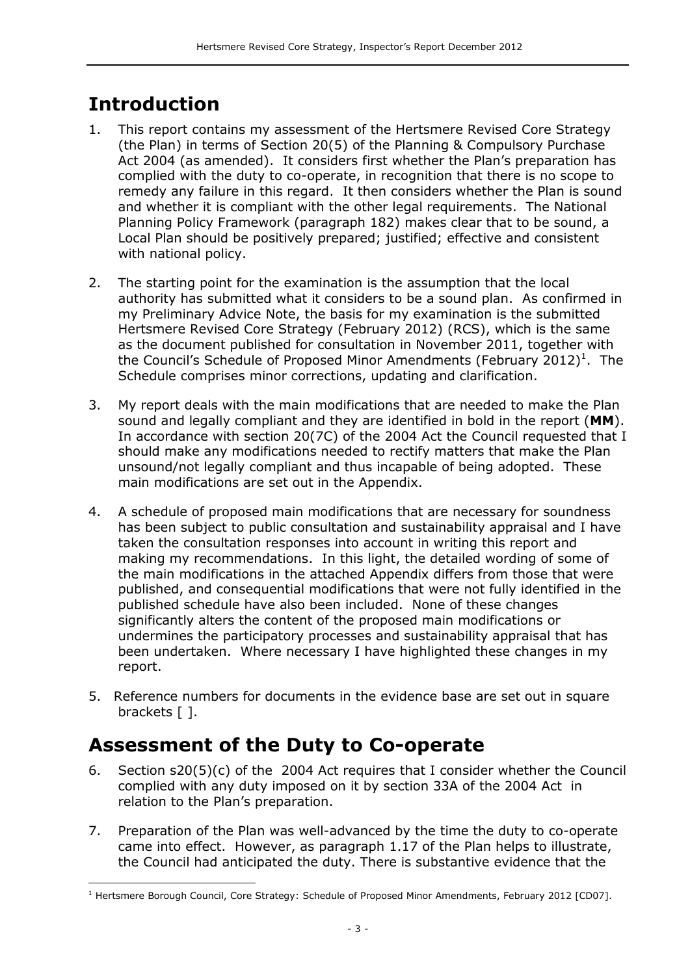# **Introduction**

- 1. This report contains my assessment of the Hertsmere Revised Core Strategy (the Plan) in terms of Section 20(5) of the Planning & Compulsory Purchase Act 2004 (as amended). It considers first whether the Plan's preparation has complied with the duty to co-operate, in recognition that there is no scope to remedy any failure in this regard. It then considers whether the Plan is sound and whether it is compliant with the other legal requirements. The National Planning Policy Framework (paragraph 182) makes clear that to be sound, a Local Plan should be positively prepared; justified; effective and consistent with national policy.
- 2. The starting point for the examination is the assumption that the local authority has submitted what it considers to be a sound plan. As confirmed in my Preliminary Advice Note, the basis for my examination is the submitted Hertsmere Revised Core Strategy (February 2012) (RCS), which is the same as the document published for consultation in November 2011, together with the Council's Schedule of Proposed Minor Amendments (February 2012)<sup>1</sup>. The Schedule comprises minor corrections, updating and clarification.
- 3. My report deals with the main modifications that are needed to make the Plan sound and legally compliant and they are identified in bold in the report (**MM**). In accordance with section 20(7C) of the 2004 Act the Council requested that I should make any modifications needed to rectify matters that make the Plan unsound/not legally compliant and thus incapable of being adopted. These main modifications are set out in the Appendix.
- 4. A schedule of proposed main modifications that are necessary for soundness has been subject to public consultation and sustainability appraisal and I have taken the consultation responses into account in writing this report and making my recommendations. In this light, the detailed wording of some of the main modifications in the attached Appendix differs from those that were published, and consequential modifications that were not fully identified in the published schedule have also been included. None of these changes significantly alters the content of the proposed main modifications or undermines the participatory processes and sustainability appraisal that has been undertaken. Where necessary I have highlighted these changes in my report.
- 5. Reference numbers for documents in the evidence base are set out in square brackets [ ].

# **Assessment of the Duty to Co-operate**

- 6. Section s20(5)(c) of the 2004 Act requires that I consider whether the Council complied with any duty imposed on it by section 33A of the 2004 Act in relation to the Plan's preparation.
- 7. Preparation of the Plan was well-advanced by the time the duty to co-operate came into effect. However, as paragraph 1.17 of the Plan helps to illustrate, the Council had anticipated the duty. There is substantive evidence that the

j <sup>1</sup> Hertsmere Borough Council, Core Strategy: Schedule of Proposed Minor Amendments, February 2012 [CD07].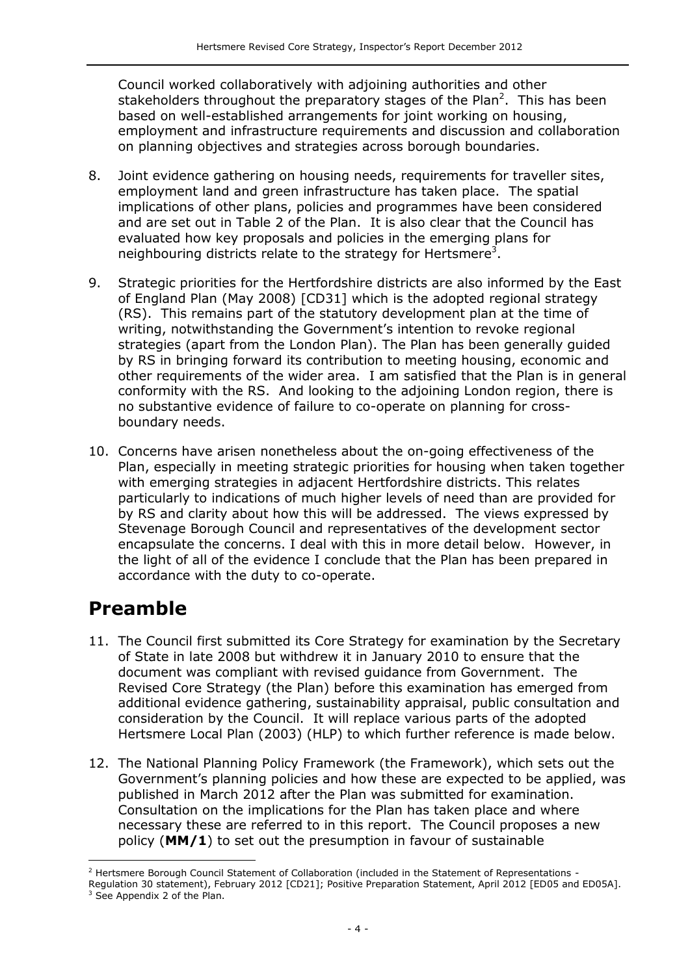Council worked collaboratively with adjoining authorities and other stakeholders throughout the preparatory stages of the Plan<sup>2</sup>. This has been based on well-established arrangements for joint working on housing, employment and infrastructure requirements and discussion and collaboration on planning objectives and strategies across borough boundaries.

- 8. Joint evidence gathering on housing needs, requirements for traveller sites, employment land and green infrastructure has taken place. The spatial implications of other plans, policies and programmes have been considered and are set out in Table 2 of the Plan. It is also clear that the Council has evaluated how key proposals and policies in the emerging plans for neighbouring districts relate to the strategy for Hertsmere<sup>3</sup>.
- 9. Strategic priorities for the Hertfordshire districts are also informed by the East of England Plan (May 2008) [CD31] which is the adopted regional strategy (RS). This remains part of the statutory development plan at the time of writing, notwithstanding the Government's intention to revoke regional strategies (apart from the London Plan). The Plan has been generally guided by RS in bringing forward its contribution to meeting housing, economic and other requirements of the wider area. I am satisfied that the Plan is in general conformity with the RS. And looking to the adjoining London region, there is no substantive evidence of failure to co-operate on planning for crossboundary needs.
- 10. Concerns have arisen nonetheless about the on-going effectiveness of the Plan, especially in meeting strategic priorities for housing when taken together with emerging strategies in adjacent Hertfordshire districts. This relates particularly to indications of much higher levels of need than are provided for by RS and clarity about how this will be addressed. The views expressed by Stevenage Borough Council and representatives of the development sector encapsulate the concerns. I deal with this in more detail below. However, in the light of all of the evidence I conclude that the Plan has been prepared in accordance with the duty to co-operate.

### **Preamble**

j

- 11. The Council first submitted its Core Strategy for examination by the Secretary of State in late 2008 but withdrew it in January 2010 to ensure that the document was compliant with revised guidance from Government. The Revised Core Strategy (the Plan) before this examination has emerged from additional evidence gathering, sustainability appraisal, public consultation and consideration by the Council. It will replace various parts of the adopted Hertsmere Local Plan (2003) (HLP) to which further reference is made below.
- 12. The National Planning Policy Framework (the Framework), which sets out the Government's planning policies and how these are expected to be applied, was published in March 2012 after the Plan was submitted for examination. Consultation on the implications for the Plan has taken place and where necessary these are referred to in this report. The Council proposes a new policy (**MM/1**) to set out the presumption in favour of sustainable

<sup>&</sup>lt;sup>2</sup> Hertsmere Borough Council Statement of Collaboration (included in the Statement of Representations -Regulation 30 statement), February 2012 [CD21]; Positive Preparation Statement, April 2012 [ED05 and ED05A]. <sup>3</sup> See Appendix 2 of the Plan.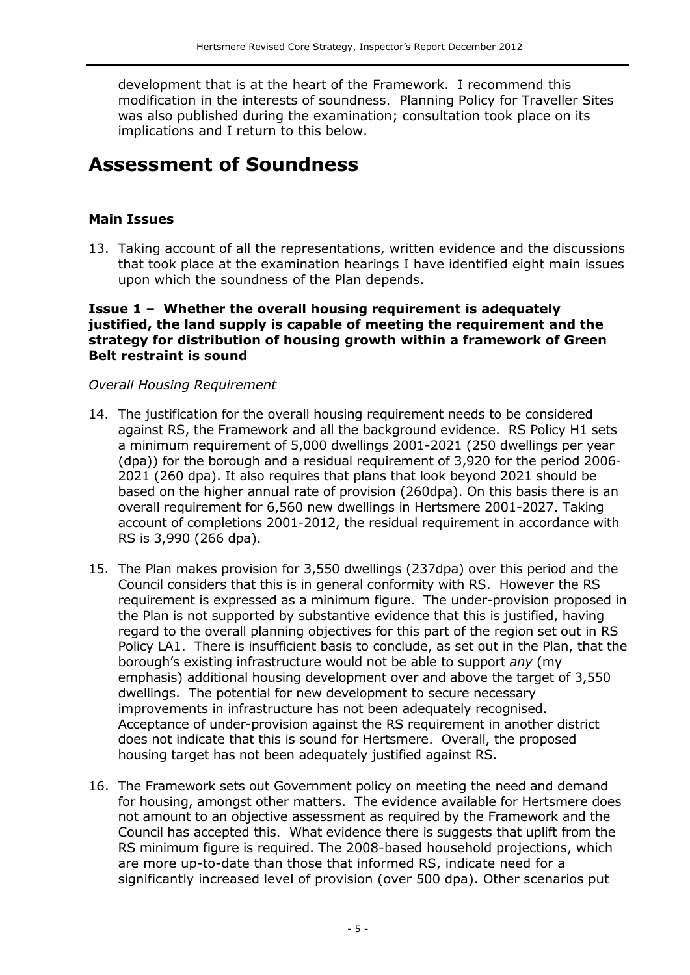development that is at the heart of the Framework. I recommend this modification in the interests of soundness. Planning Policy for Traveller Sites was also published during the examination; consultation took place on its implications and I return to this below.

### **Assessment of Soundness**

#### **Main Issues**

13. Taking account of all the representations, written evidence and the discussions that took place at the examination hearings I have identified eight main issues upon which the soundness of the Plan depends.

#### **Issue 1 – Whether the overall housing requirement is adequately justified, the land supply is capable of meeting the requirement and the strategy for distribution of housing growth within a framework of Green Belt restraint is sound**

#### *Overall Housing Requirement*

- 14. The justification for the overall housing requirement needs to be considered against RS, the Framework and all the background evidence. RS Policy H1 sets a minimum requirement of 5,000 dwellings 2001-2021 (250 dwellings per year (dpa)) for the borough and a residual requirement of 3,920 for the period 2006- 2021 (260 dpa). It also requires that plans that look beyond 2021 should be based on the higher annual rate of provision (260dpa). On this basis there is an overall requirement for 6,560 new dwellings in Hertsmere 2001-2027. Taking account of completions 2001-2012, the residual requirement in accordance with RS is 3,990 (266 dpa).
- 15. The Plan makes provision for 3,550 dwellings (237dpa) over this period and the Council considers that this is in general conformity with RS. However the RS requirement is expressed as a minimum figure. The under-provision proposed in the Plan is not supported by substantive evidence that this is justified, having regard to the overall planning objectives for this part of the region set out in RS Policy LA1. There is insufficient basis to conclude, as set out in the Plan, that the borough's existing infrastructure would not be able to support *any* (my emphasis) additional housing development over and above the target of 3,550 dwellings. The potential for new development to secure necessary improvements in infrastructure has not been adequately recognised. Acceptance of under-provision against the RS requirement in another district does not indicate that this is sound for Hertsmere. Overall, the proposed housing target has not been adequately justified against RS.
- 16. The Framework sets out Government policy on meeting the need and demand for housing, amongst other matters. The evidence available for Hertsmere does not amount to an objective assessment as required by the Framework and the Council has accepted this. What evidence there is suggests that uplift from the RS minimum figure is required. The 2008-based household projections, which are more up-to-date than those that informed RS, indicate need for a significantly increased level of provision (over 500 dpa). Other scenarios put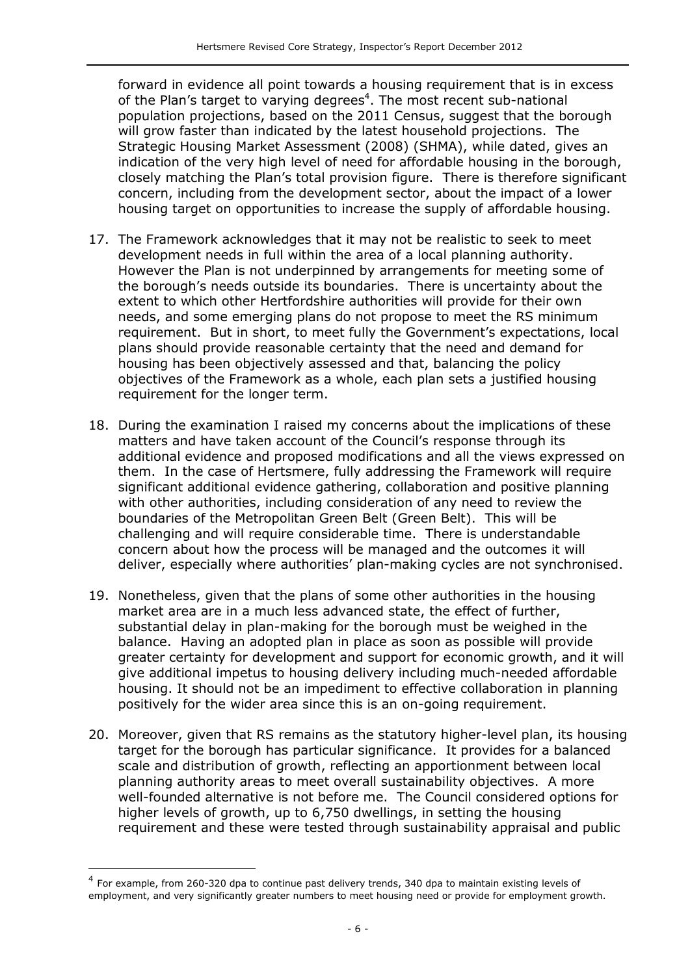forward in evidence all point towards a housing requirement that is in excess of the Plan's target to varying degrees<sup>4</sup>. The most recent sub-national population projections, based on the 2011 Census, suggest that the borough will grow faster than indicated by the latest household projections. The Strategic Housing Market Assessment (2008) (SHMA), while dated, gives an indication of the very high level of need for affordable housing in the borough, closely matching the Plan's total provision figure. There is therefore significant concern, including from the development sector, about the impact of a lower housing target on opportunities to increase the supply of affordable housing.

- 17. The Framework acknowledges that it may not be realistic to seek to meet development needs in full within the area of a local planning authority. However the Plan is not underpinned by arrangements for meeting some of the borough's needs outside its boundaries. There is uncertainty about the extent to which other Hertfordshire authorities will provide for their own needs, and some emerging plans do not propose to meet the RS minimum requirement. But in short, to meet fully the Government's expectations, local plans should provide reasonable certainty that the need and demand for housing has been objectively assessed and that, balancing the policy objectives of the Framework as a whole, each plan sets a justified housing requirement for the longer term.
- 18. During the examination I raised my concerns about the implications of these matters and have taken account of the Council's response through its additional evidence and proposed modifications and all the views expressed on them. In the case of Hertsmere, fully addressing the Framework will require significant additional evidence gathering, collaboration and positive planning with other authorities, including consideration of any need to review the boundaries of the Metropolitan Green Belt (Green Belt). This will be challenging and will require considerable time. There is understandable concern about how the process will be managed and the outcomes it will deliver, especially where authorities' plan-making cycles are not synchronised.
- 19. Nonetheless, given that the plans of some other authorities in the housing market area are in a much less advanced state, the effect of further, substantial delay in plan-making for the borough must be weighed in the balance. Having an adopted plan in place as soon as possible will provide greater certainty for development and support for economic growth, and it will give additional impetus to housing delivery including much-needed affordable housing. It should not be an impediment to effective collaboration in planning positively for the wider area since this is an on-going requirement.
- 20. Moreover, given that RS remains as the statutory higher-level plan, its housing target for the borough has particular significance. It provides for a balanced scale and distribution of growth, reflecting an apportionment between local planning authority areas to meet overall sustainability objectives. A more well-founded alternative is not before me. The Council considered options for higher levels of growth, up to 6,750 dwellings, in setting the housing requirement and these were tested through sustainability appraisal and public

 $\overline{a}$ 

<sup>&</sup>lt;sup>4</sup> For example, from 260-320 dpa to continue past delivery trends, 340 dpa to maintain existing levels of employment, and very significantly greater numbers to meet housing need or provide for employment growth.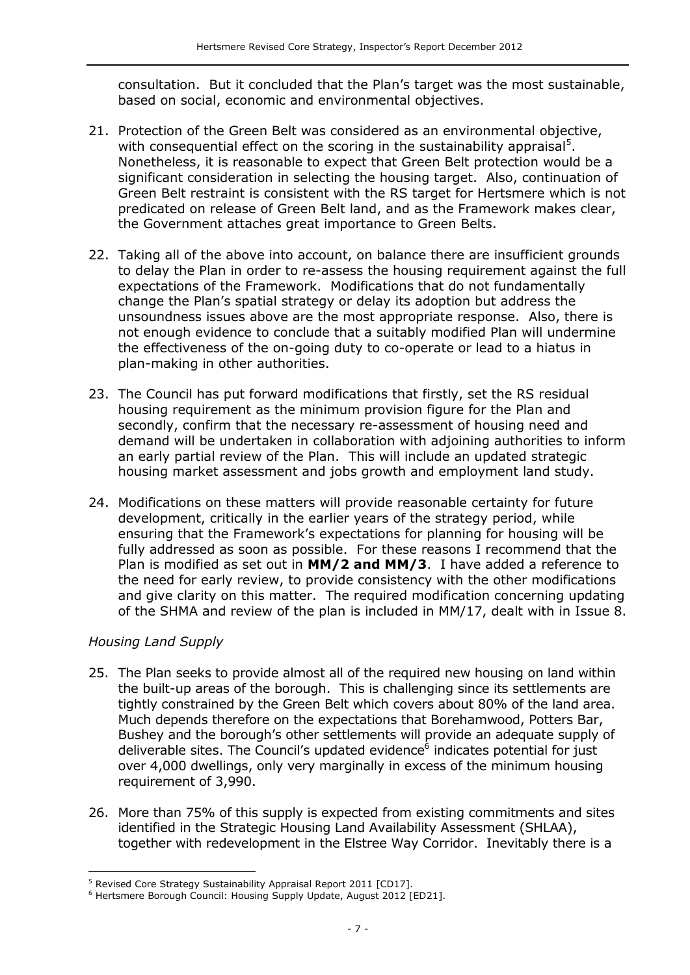consultation. But it concluded that the Plan's target was the most sustainable, based on social, economic and environmental objectives.

- 21. Protection of the Green Belt was considered as an environmental objective, with consequential effect on the scoring in the sustainability appraisal<sup>5</sup>. Nonetheless, it is reasonable to expect that Green Belt protection would be a significant consideration in selecting the housing target. Also, continuation of Green Belt restraint is consistent with the RS target for Hertsmere which is not predicated on release of Green Belt land, and as the Framework makes clear, the Government attaches great importance to Green Belts.
- 22. Taking all of the above into account, on balance there are insufficient grounds to delay the Plan in order to re-assess the housing requirement against the full expectations of the Framework. Modifications that do not fundamentally change the Plan's spatial strategy or delay its adoption but address the unsoundness issues above are the most appropriate response. Also, there is not enough evidence to conclude that a suitably modified Plan will undermine the effectiveness of the on-going duty to co-operate or lead to a hiatus in plan-making in other authorities.
- 23. The Council has put forward modifications that firstly, set the RS residual housing requirement as the minimum provision figure for the Plan and secondly, confirm that the necessary re-assessment of housing need and demand will be undertaken in collaboration with adjoining authorities to inform an early partial review of the Plan. This will include an updated strategic housing market assessment and jobs growth and employment land study.
- 24. Modifications on these matters will provide reasonable certainty for future development, critically in the earlier years of the strategy period, while ensuring that the Framework's expectations for planning for housing will be fully addressed as soon as possible. For these reasons I recommend that the Plan is modified as set out in **MM/2 and MM/3**. I have added a reference to the need for early review, to provide consistency with the other modifications and give clarity on this matter. The required modification concerning updating of the SHMA and review of the plan is included in MM/17, dealt with in Issue 8.

#### *Housing Land Supply*

- 25. The Plan seeks to provide almost all of the required new housing on land within the built-up areas of the borough. This is challenging since its settlements are tightly constrained by the Green Belt which covers about 80% of the land area. Much depends therefore on the expectations that Borehamwood, Potters Bar, Bushey and the borough's other settlements will provide an adequate supply of deliverable sites. The Council's updated evidence<sup>6</sup> indicates potential for just over 4,000 dwellings, only very marginally in excess of the minimum housing requirement of 3,990.
- 26. More than 75% of this supply is expected from existing commitments and sites identified in the Strategic Housing Land Availability Assessment (SHLAA), together with redevelopment in the Elstree Way Corridor. Inevitably there is a

j <sup>5</sup> Revised Core Strategy Sustainability Appraisal Report 2011 [CD17].

<sup>6</sup> Hertsmere Borough Council: Housing Supply Update, August 2012 [ED21].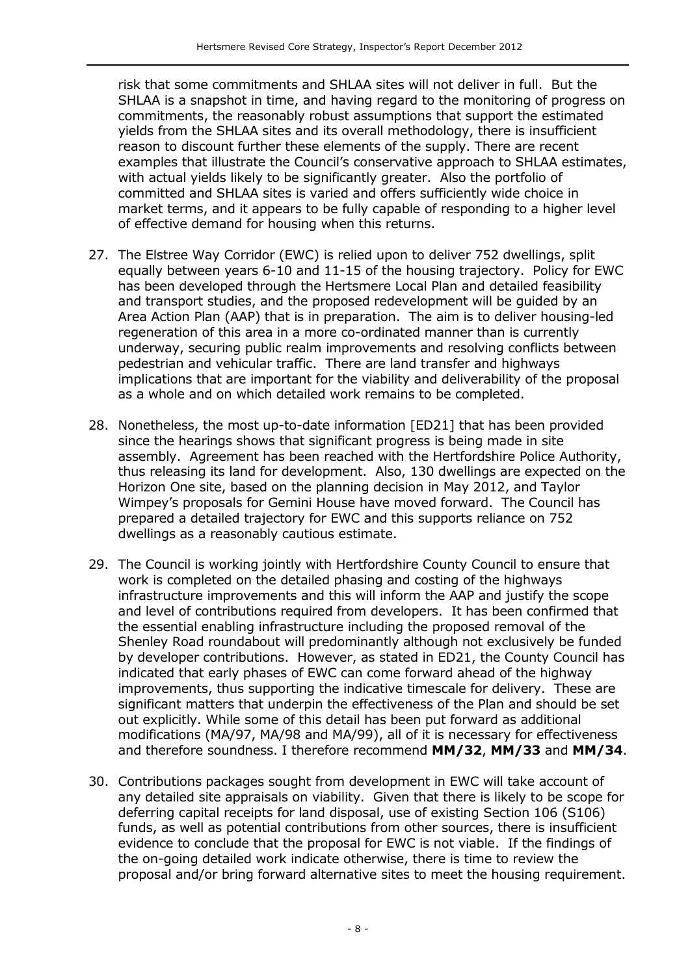risk that some commitments and SHLAA sites will not deliver in full. But the SHLAA is a snapshot in time, and having regard to the monitoring of progress on commitments, the reasonably robust assumptions that support the estimated yields from the SHLAA sites and its overall methodology, there is insufficient reason to discount further these elements of the supply. There are recent examples that illustrate the Council's conservative approach to SHLAA estimates, with actual yields likely to be significantly greater. Also the portfolio of committed and SHLAA sites is varied and offers sufficiently wide choice in market terms, and it appears to be fully capable of responding to a higher level of effective demand for housing when this returns.

- 27. The Elstree Way Corridor (EWC) is relied upon to deliver 752 dwellings, split equally between years 6-10 and 11-15 of the housing trajectory. Policy for EWC has been developed through the Hertsmere Local Plan and detailed feasibility and transport studies, and the proposed redevelopment will be guided by an Area Action Plan (AAP) that is in preparation. The aim is to deliver housing-led regeneration of this area in a more co-ordinated manner than is currently underway, securing public realm improvements and resolving conflicts between pedestrian and vehicular traffic. There are land transfer and highways implications that are important for the viability and deliverability of the proposal as a whole and on which detailed work remains to be completed.
- 28. Nonetheless, the most up-to-date information [ED21] that has been provided since the hearings shows that significant progress is being made in site assembly. Agreement has been reached with the Hertfordshire Police Authority, thus releasing its land for development. Also, 130 dwellings are expected on the Horizon One site, based on the planning decision in May 2012, and Taylor Wimpey's proposals for Gemini House have moved forward. The Council has prepared a detailed trajectory for EWC and this supports reliance on 752 dwellings as a reasonably cautious estimate.
- 29. The Council is working jointly with Hertfordshire County Council to ensure that work is completed on the detailed phasing and costing of the highways infrastructure improvements and this will inform the AAP and justify the scope and level of contributions required from developers. It has been confirmed that the essential enabling infrastructure including the proposed removal of the Shenley Road roundabout will predominantly although not exclusively be funded by developer contributions. However, as stated in ED21, the County Council has indicated that early phases of EWC can come forward ahead of the highway improvements, thus supporting the indicative timescale for delivery. These are significant matters that underpin the effectiveness of the Plan and should be set out explicitly. While some of this detail has been put forward as additional modifications (MA/97, MA/98 and MA/99), all of it is necessary for effectiveness and therefore soundness. I therefore recommend **MM/32**, **MM/33** and **MM/34**.
- 30. Contributions packages sought from development in EWC will take account of any detailed site appraisals on viability. Given that there is likely to be scope for deferring capital receipts for land disposal, use of existing Section 106 (S106) funds, as well as potential contributions from other sources, there is insufficient evidence to conclude that the proposal for EWC is not viable. If the findings of the on-going detailed work indicate otherwise, there is time to review the proposal and/or bring forward alternative sites to meet the housing requirement.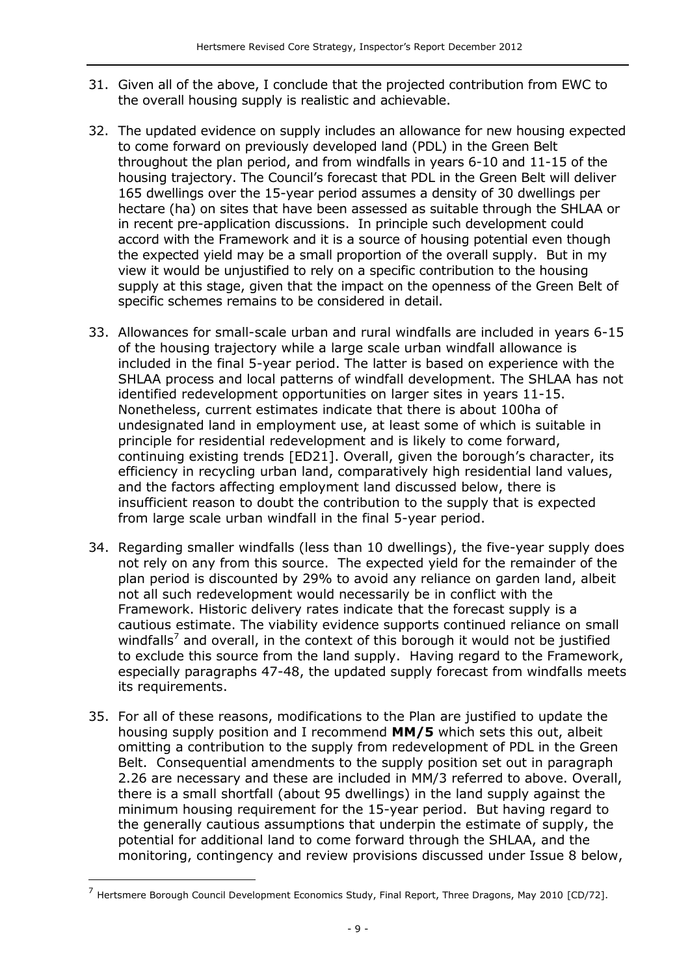- 31. Given all of the above, I conclude that the projected contribution from EWC to the overall housing supply is realistic and achievable.
- 32. The updated evidence on supply includes an allowance for new housing expected to come forward on previously developed land (PDL) in the Green Belt throughout the plan period, and from windfalls in years 6-10 and 11-15 of the housing trajectory. The Council's forecast that PDL in the Green Belt will deliver 165 dwellings over the 15-year period assumes a density of 30 dwellings per hectare (ha) on sites that have been assessed as suitable through the SHLAA or in recent pre-application discussions. In principle such development could accord with the Framework and it is a source of housing potential even though the expected yield may be a small proportion of the overall supply. But in my view it would be unjustified to rely on a specific contribution to the housing supply at this stage, given that the impact on the openness of the Green Belt of specific schemes remains to be considered in detail.
- 33. Allowances for small-scale urban and rural windfalls are included in years 6-15 of the housing trajectory while a large scale urban windfall allowance is included in the final 5-year period. The latter is based on experience with the SHLAA process and local patterns of windfall development. The SHLAA has not identified redevelopment opportunities on larger sites in years 11-15. Nonetheless, current estimates indicate that there is about 100ha of undesignated land in employment use, at least some of which is suitable in principle for residential redevelopment and is likely to come forward, continuing existing trends [ED21]. Overall, given the borough's character, its efficiency in recycling urban land, comparatively high residential land values, and the factors affecting employment land discussed below, there is insufficient reason to doubt the contribution to the supply that is expected from large scale urban windfall in the final 5-year period.
- 34. Regarding smaller windfalls (less than 10 dwellings), the five-year supply does not rely on any from this source. The expected yield for the remainder of the plan period is discounted by 29% to avoid any reliance on garden land, albeit not all such redevelopment would necessarily be in conflict with the Framework. Historic delivery rates indicate that the forecast supply is a cautious estimate. The viability evidence supports continued reliance on small windfalls<sup>7</sup> and overall, in the context of this borough it would not be justified to exclude this source from the land supply. Having regard to the Framework, especially paragraphs 47-48, the updated supply forecast from windfalls meets its requirements.
- 35. For all of these reasons, modifications to the Plan are justified to update the housing supply position and I recommend **MM/5** which sets this out, albeit omitting a contribution to the supply from redevelopment of PDL in the Green Belt. Consequential amendments to the supply position set out in paragraph 2.26 are necessary and these are included in MM/3 referred to above. Overall, there is a small shortfall (about 95 dwellings) in the land supply against the minimum housing requirement for the 15-year period. But having regard to the generally cautious assumptions that underpin the estimate of supply, the potential for additional land to come forward through the SHLAA, and the monitoring, contingency and review provisions discussed under Issue 8 below,

 $\overline{a}$ 

<sup>&</sup>lt;sup>7</sup> Hertsmere Borough Council Development Economics Study, Final Report, Three Dragons, May 2010 [CD/72].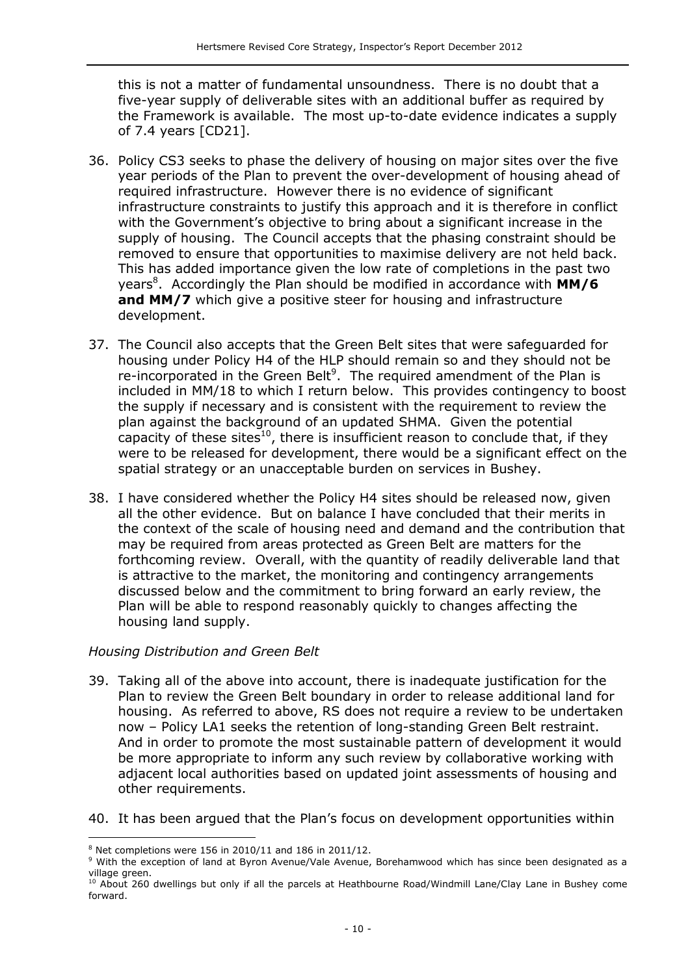this is not a matter of fundamental unsoundness. There is no doubt that a five-year supply of deliverable sites with an additional buffer as required by the Framework is available. The most up-to-date evidence indicates a supply of 7.4 years [CD21].

- 36. Policy CS3 seeks to phase the delivery of housing on major sites over the five year periods of the Plan to prevent the over-development of housing ahead of required infrastructure. However there is no evidence of significant infrastructure constraints to justify this approach and it is therefore in conflict with the Government's objective to bring about a significant increase in the supply of housing. The Council accepts that the phasing constraint should be removed to ensure that opportunities to maximise delivery are not held back. This has added importance given the low rate of completions in the past two years<sup>8</sup>. Accordingly the Plan should be modified in accordance with **MM/6 and MM/7** which give a positive steer for housing and infrastructure development.
- 37. The Council also accepts that the Green Belt sites that were safeguarded for housing under Policy H4 of the HLP should remain so and they should not be re-incorporated in the Green Belt<sup>9</sup>. The required amendment of the Plan is included in MM/18 to which I return below. This provides contingency to boost the supply if necessary and is consistent with the requirement to review the plan against the background of an updated SHMA. Given the potential capacity of these sites<sup>10</sup>, there is insufficient reason to conclude that, if they were to be released for development, there would be a significant effect on the spatial strategy or an unacceptable burden on services in Bushey.
- 38. I have considered whether the Policy H4 sites should be released now, given all the other evidence. But on balance I have concluded that their merits in the context of the scale of housing need and demand and the contribution that may be required from areas protected as Green Belt are matters for the forthcoming review. Overall, with the quantity of readily deliverable land that is attractive to the market, the monitoring and contingency arrangements discussed below and the commitment to bring forward an early review, the Plan will be able to respond reasonably quickly to changes affecting the housing land supply.

#### *Housing Distribution and Green Belt*

- 39. Taking all of the above into account, there is inadequate justification for the Plan to review the Green Belt boundary in order to release additional land for housing. As referred to above, RS does not require a review to be undertaken now – Policy LA1 seeks the retention of long-standing Green Belt restraint. And in order to promote the most sustainable pattern of development it would be more appropriate to inform any such review by collaborative working with adjacent local authorities based on updated joint assessments of housing and other requirements.
- 40. It has been argued that the Plan's focus on development opportunities within

 $\overline{a}$  $8$  Net completions were 156 in 2010/11 and 186 in 2011/12.

<sup>&</sup>lt;sup>9</sup> With the exception of land at Byron Avenue/Vale Avenue, Borehamwood which has since been designated as a village green.

<sup>&</sup>lt;sup>10</sup> About 260 dwellings but only if all the parcels at Heathbourne Road/Windmill Lane/Clay Lane in Bushey come forward.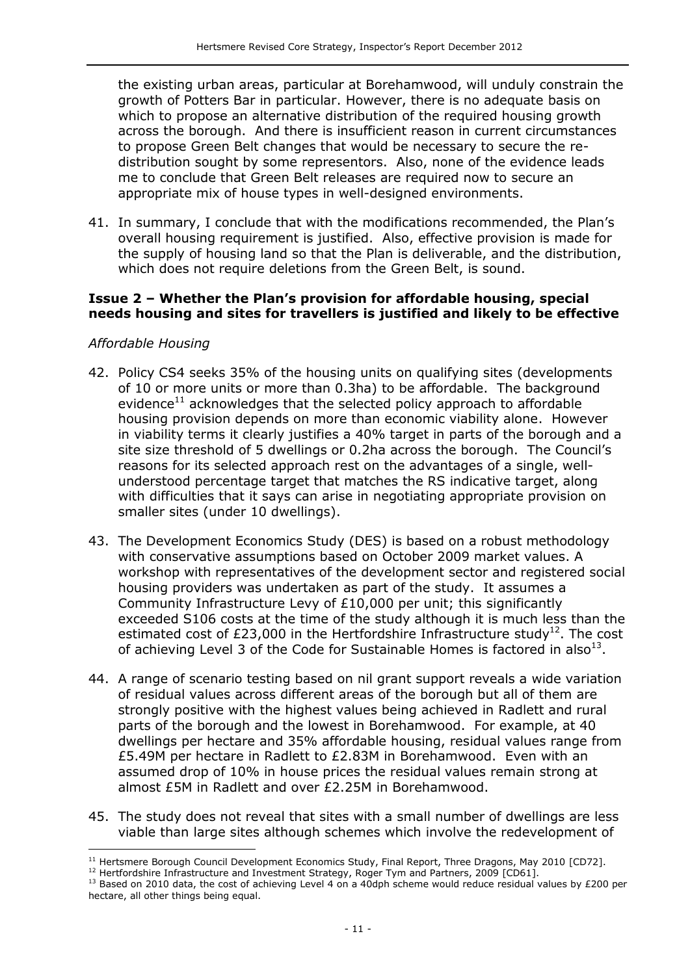the existing urban areas, particular at Borehamwood, will unduly constrain the growth of Potters Bar in particular. However, there is no adequate basis on which to propose an alternative distribution of the required housing growth across the borough. And there is insufficient reason in current circumstances to propose Green Belt changes that would be necessary to secure the redistribution sought by some representors. Also, none of the evidence leads me to conclude that Green Belt releases are required now to secure an appropriate mix of house types in well-designed environments.

41. In summary, I conclude that with the modifications recommended, the Plan's overall housing requirement is justified. Also, effective provision is made for the supply of housing land so that the Plan is deliverable, and the distribution, which does not require deletions from the Green Belt, is sound.

#### **Issue 2 – Whether the Plan's provision for affordable housing, special needs housing and sites for travellers is justified and likely to be effective**

#### *Affordable Housing*

j

- 42. Policy CS4 seeks 35% of the housing units on qualifying sites (developments of 10 or more units or more than 0.3ha) to be affordable. The background evidence<sup>11</sup> acknowledges that the selected policy approach to affordable housing provision depends on more than economic viability alone. However in viability terms it clearly justifies a 40% target in parts of the borough and a site size threshold of 5 dwellings or 0.2ha across the borough. The Council's reasons for its selected approach rest on the advantages of a single, wellunderstood percentage target that matches the RS indicative target, along with difficulties that it says can arise in negotiating appropriate provision on smaller sites (under 10 dwellings).
- 43. The Development Economics Study (DES) is based on a robust methodology with conservative assumptions based on October 2009 market values. A workshop with representatives of the development sector and registered social housing providers was undertaken as part of the study. It assumes a Community Infrastructure Levy of £10,000 per unit; this significantly exceeded S106 costs at the time of the study although it is much less than the estimated cost of £23,000 in the Hertfordshire Infrastructure study<sup>12</sup>. The cost of achieving Level 3 of the Code for Sustainable Homes is factored in also $^{13}$ .
- 44. A range of scenario testing based on nil grant support reveals a wide variation of residual values across different areas of the borough but all of them are strongly positive with the highest values being achieved in Radlett and rural parts of the borough and the lowest in Borehamwood. For example, at 40 dwellings per hectare and 35% affordable housing, residual values range from £5.49M per hectare in Radlett to £2.83M in Borehamwood. Even with an assumed drop of 10% in house prices the residual values remain strong at almost £5M in Radlett and over £2.25M in Borehamwood.
- 45. The study does not reveal that sites with a small number of dwellings are less viable than large sites although schemes which involve the redevelopment of

<sup>&</sup>lt;sup>11</sup> Hertsmere Borough Council Development Economics Study, Final Report, Three Dragons, May 2010 [CD72].

<sup>&</sup>lt;sup>12</sup> Hertfordshire Infrastructure and Investment Strategy, Roger Tym and Partners, 2009 [CD61].

<sup>&</sup>lt;sup>13</sup> Based on 2010 data, the cost of achieving Level 4 on a 40dph scheme would reduce residual values by £200 per hectare, all other things being equal.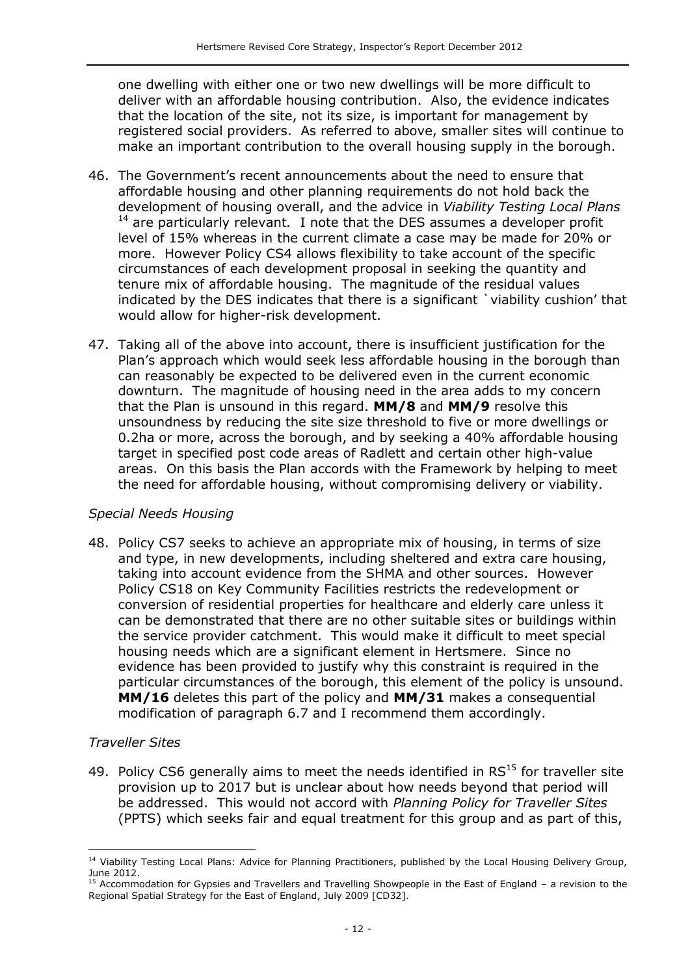one dwelling with either one or two new dwellings will be more difficult to deliver with an affordable housing contribution. Also, the evidence indicates that the location of the site, not its size, is important for management by registered social providers. As referred to above, smaller sites will continue to make an important contribution to the overall housing supply in the borough.

- 46. The Government's recent announcements about the need to ensure that affordable housing and other planning requirements do not hold back the development of housing overall, and the advice in *Viability Testing Local Plans*  <sup>14</sup> are particularly relevant*.* I note that the DES assumes a developer profit level of 15% whereas in the current climate a case may be made for 20% or more. However Policy CS4 allows flexibility to take account of the specific circumstances of each development proposal in seeking the quantity and tenure mix of affordable housing. The magnitude of the residual values indicated by the DES indicates that there is a significant `viability cushion' that would allow for higher-risk development.
- 47. Taking all of the above into account, there is insufficient justification for the Plan's approach which would seek less affordable housing in the borough than can reasonably be expected to be delivered even in the current economic downturn. The magnitude of housing need in the area adds to my concern that the Plan is unsound in this regard. **MM/8** and **MM/9** resolve this unsoundness by reducing the site size threshold to five or more dwellings or 0.2ha or more, across the borough, and by seeking a 40% affordable housing target in specified post code areas of Radlett and certain other high-value areas. On this basis the Plan accords with the Framework by helping to meet the need for affordable housing, without compromising delivery or viability.

#### *Special Needs Housing*

48. Policy CS7 seeks to achieve an appropriate mix of housing, in terms of size and type, in new developments, including sheltered and extra care housing, taking into account evidence from the SHMA and other sources. However Policy CS18 on Key Community Facilities restricts the redevelopment or conversion of residential properties for healthcare and elderly care unless it can be demonstrated that there are no other suitable sites or buildings within the service provider catchment. This would make it difficult to meet special housing needs which are a significant element in Hertsmere. Since no evidence has been provided to justify why this constraint is required in the particular circumstances of the borough, this element of the policy is unsound. **MM/16** deletes this part of the policy and **MM/31** makes a consequential modification of paragraph 6.7 and I recommend them accordingly.

#### *Traveller Sites*

j

49. Policy CS6 generally aims to meet the needs identified in  $RS<sup>15</sup>$  for traveller site provision up to 2017 but is unclear about how needs beyond that period will be addressed. This would not accord with *Planning Policy for Traveller Sites*  (PPTS) which seeks fair and equal treatment for this group and as part of this,

<sup>&</sup>lt;sup>14</sup> Viability Testing Local Plans: Advice for Planning Practitioners, published by the Local Housing Delivery Group, June 2012.

<sup>&</sup>lt;sup>15</sup> Accommodation for Gypsies and Travellers and Travelling Showpeople in the East of England – a revision to the Regional Spatial Strategy for the East of England, July 2009 [CD32].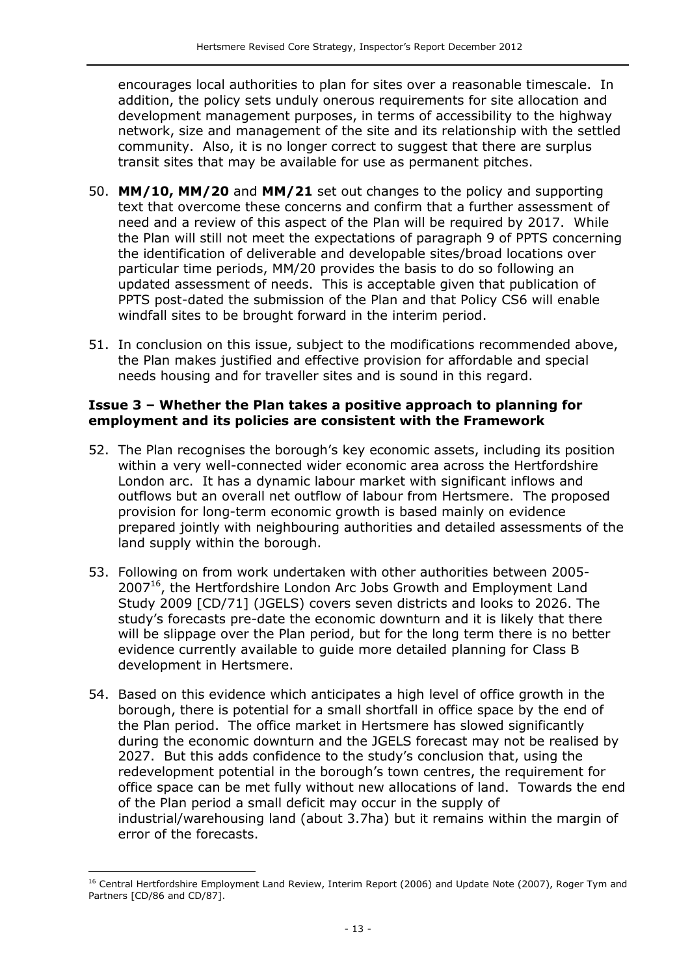encourages local authorities to plan for sites over a reasonable timescale. In addition, the policy sets unduly onerous requirements for site allocation and development management purposes, in terms of accessibility to the highway network, size and management of the site and its relationship with the settled community. Also, it is no longer correct to suggest that there are surplus transit sites that may be available for use as permanent pitches.

- 50. **MM/10, MM/20** and **MM/21** set out changes to the policy and supporting text that overcome these concerns and confirm that a further assessment of need and a review of this aspect of the Plan will be required by 2017. While the Plan will still not meet the expectations of paragraph 9 of PPTS concerning the identification of deliverable and developable sites/broad locations over particular time periods, MM/20 provides the basis to do so following an updated assessment of needs. This is acceptable given that publication of PPTS post-dated the submission of the Plan and that Policy CS6 will enable windfall sites to be brought forward in the interim period.
- 51. In conclusion on this issue, subject to the modifications recommended above, the Plan makes justified and effective provision for affordable and special needs housing and for traveller sites and is sound in this regard.

#### **Issue 3 – Whether the Plan takes a positive approach to planning for employment and its policies are consistent with the Framework**

- 52. The Plan recognises the borough's key economic assets, including its position within a very well-connected wider economic area across the Hertfordshire London arc. It has a dynamic labour market with significant inflows and outflows but an overall net outflow of labour from Hertsmere. The proposed provision for long-term economic growth is based mainly on evidence prepared jointly with neighbouring authorities and detailed assessments of the land supply within the borough.
- 53. Following on from work undertaken with other authorities between 2005- 2007<sup>16</sup>, the Hertfordshire London Arc Jobs Growth and Employment Land Study 2009 [CD/71] (JGELS) covers seven districts and looks to 2026. The study's forecasts pre-date the economic downturn and it is likely that there will be slippage over the Plan period, but for the long term there is no better evidence currently available to guide more detailed planning for Class B development in Hertsmere.
- 54. Based on this evidence which anticipates a high level of office growth in the borough, there is potential for a small shortfall in office space by the end of the Plan period. The office market in Hertsmere has slowed significantly during the economic downturn and the JGELS forecast may not be realised by 2027. But this adds confidence to the study's conclusion that, using the redevelopment potential in the borough's town centres, the requirement for office space can be met fully without new allocations of land. Towards the end of the Plan period a small deficit may occur in the supply of industrial/warehousing land (about 3.7ha) but it remains within the margin of error of the forecasts.

j

<sup>&</sup>lt;sup>16</sup> Central Hertfordshire Employment Land Review, Interim Report (2006) and Update Note (2007), Roger Tym and Partners [CD/86 and CD/87].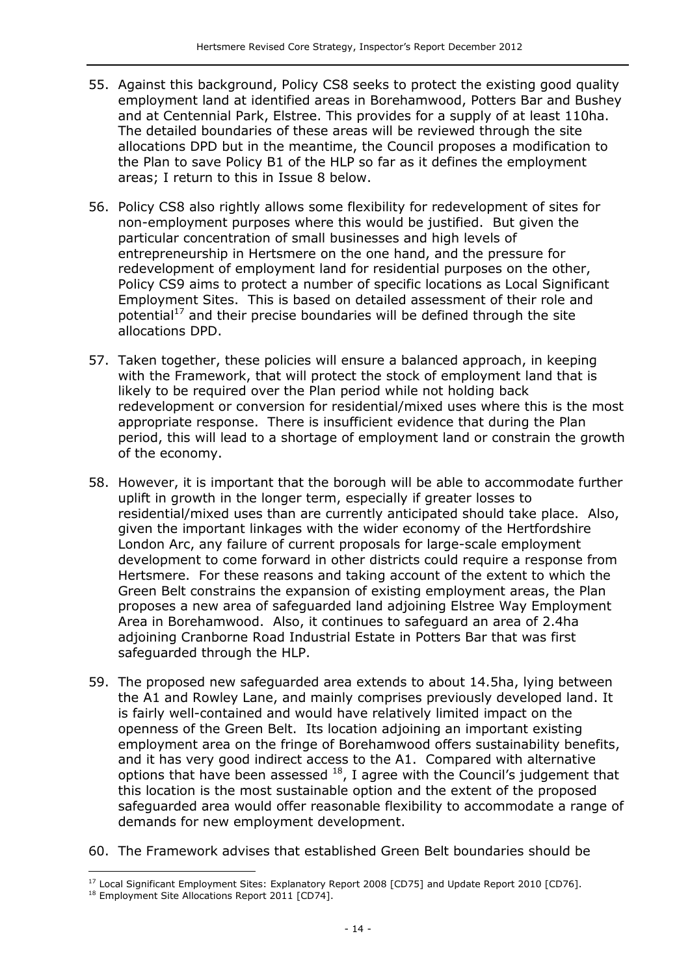- 55. Against this background, Policy CS8 seeks to protect the existing good quality employment land at identified areas in Borehamwood, Potters Bar and Bushey and at Centennial Park, Elstree. This provides for a supply of at least 110ha. The detailed boundaries of these areas will be reviewed through the site allocations DPD but in the meantime, the Council proposes a modification to the Plan to save Policy B1 of the HLP so far as it defines the employment areas; I return to this in Issue 8 below.
- 56. Policy CS8 also rightly allows some flexibility for redevelopment of sites for non-employment purposes where this would be justified. But given the particular concentration of small businesses and high levels of entrepreneurship in Hertsmere on the one hand, and the pressure for redevelopment of employment land for residential purposes on the other, Policy CS9 aims to protect a number of specific locations as Local Significant Employment Sites. This is based on detailed assessment of their role and potential<sup>17</sup> and their precise boundaries will be defined through the site allocations DPD.
- 57. Taken together, these policies will ensure a balanced approach, in keeping with the Framework, that will protect the stock of employment land that is likely to be required over the Plan period while not holding back redevelopment or conversion for residential/mixed uses where this is the most appropriate response. There is insufficient evidence that during the Plan period, this will lead to a shortage of employment land or constrain the growth of the economy.
- 58. However, it is important that the borough will be able to accommodate further uplift in growth in the longer term, especially if greater losses to residential/mixed uses than are currently anticipated should take place. Also, given the important linkages with the wider economy of the Hertfordshire London Arc, any failure of current proposals for large-scale employment development to come forward in other districts could require a response from Hertsmere. For these reasons and taking account of the extent to which the Green Belt constrains the expansion of existing employment areas, the Plan proposes a new area of safeguarded land adjoining Elstree Way Employment Area in Borehamwood. Also, it continues to safeguard an area of 2.4ha adjoining Cranborne Road Industrial Estate in Potters Bar that was first safeguarded through the HLP.
- 59. The proposed new safeguarded area extends to about 14.5ha, lying between the A1 and Rowley Lane, and mainly comprises previously developed land. It is fairly well-contained and would have relatively limited impact on the openness of the Green Belt. Its location adjoining an important existing employment area on the fringe of Borehamwood offers sustainability benefits, and it has very good indirect access to the A1. Compared with alternative options that have been assessed  $^{18}$ , I agree with the Council's judgement that this location is the most sustainable option and the extent of the proposed safeguarded area would offer reasonable flexibility to accommodate a range of demands for new employment development.
- 60. The Framework advises that established Green Belt boundaries should be

j <sup>17</sup> Local Significant Employment Sites: Explanatory Report 2008 [CD75] and Update Report 2010 [CD76]. 18 Employment Site Allocations Report 2011 [CD74].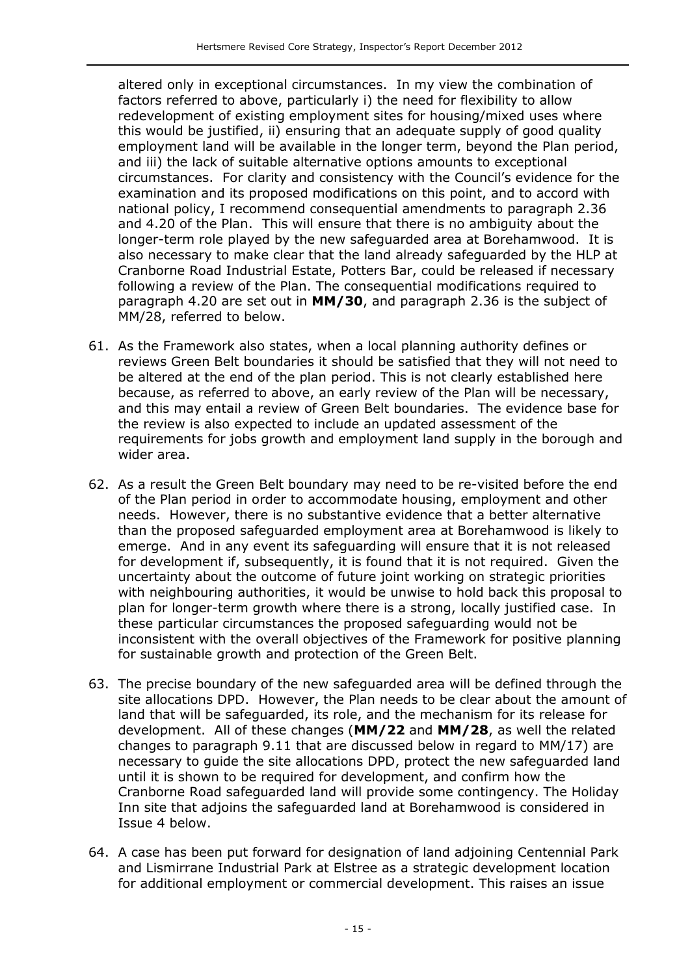altered only in exceptional circumstances. In my view the combination of factors referred to above, particularly i) the need for flexibility to allow redevelopment of existing employment sites for housing/mixed uses where this would be justified, ii) ensuring that an adequate supply of good quality employment land will be available in the longer term, beyond the Plan period, and iii) the lack of suitable alternative options amounts to exceptional circumstances. For clarity and consistency with the Council's evidence for the examination and its proposed modifications on this point, and to accord with national policy, I recommend consequential amendments to paragraph 2.36 and 4.20 of the Plan. This will ensure that there is no ambiguity about the longer-term role played by the new safeguarded area at Borehamwood. It is also necessary to make clear that the land already safeguarded by the HLP at Cranborne Road Industrial Estate, Potters Bar, could be released if necessary following a review of the Plan. The consequential modifications required to paragraph 4.20 are set out in **MM/30**, and paragraph 2.36 is the subject of MM/28, referred to below.

- 61. As the Framework also states, when a local planning authority defines or reviews Green Belt boundaries it should be satisfied that they will not need to be altered at the end of the plan period. This is not clearly established here because, as referred to above, an early review of the Plan will be necessary, and this may entail a review of Green Belt boundaries. The evidence base for the review is also expected to include an updated assessment of the requirements for jobs growth and employment land supply in the borough and wider area.
- 62. As a result the Green Belt boundary may need to be re-visited before the end of the Plan period in order to accommodate housing, employment and other needs. However, there is no substantive evidence that a better alternative than the proposed safeguarded employment area at Borehamwood is likely to emerge. And in any event its safeguarding will ensure that it is not released for development if, subsequently, it is found that it is not required. Given the uncertainty about the outcome of future joint working on strategic priorities with neighbouring authorities, it would be unwise to hold back this proposal to plan for longer-term growth where there is a strong, locally justified case. In these particular circumstances the proposed safeguarding would not be inconsistent with the overall objectives of the Framework for positive planning for sustainable growth and protection of the Green Belt.
- 63. The precise boundary of the new safeguarded area will be defined through the site allocations DPD. However, the Plan needs to be clear about the amount of land that will be safeguarded, its role, and the mechanism for its release for development. All of these changes (**MM/22** and **MM/28**, as well the related changes to paragraph 9.11 that are discussed below in regard to MM/17) are necessary to guide the site allocations DPD, protect the new safeguarded land until it is shown to be required for development, and confirm how the Cranborne Road safeguarded land will provide some contingency. The Holiday Inn site that adjoins the safeguarded land at Borehamwood is considered in Issue 4 below.
- 64. A case has been put forward for designation of land adjoining Centennial Park and Lismirrane Industrial Park at Elstree as a strategic development location for additional employment or commercial development. This raises an issue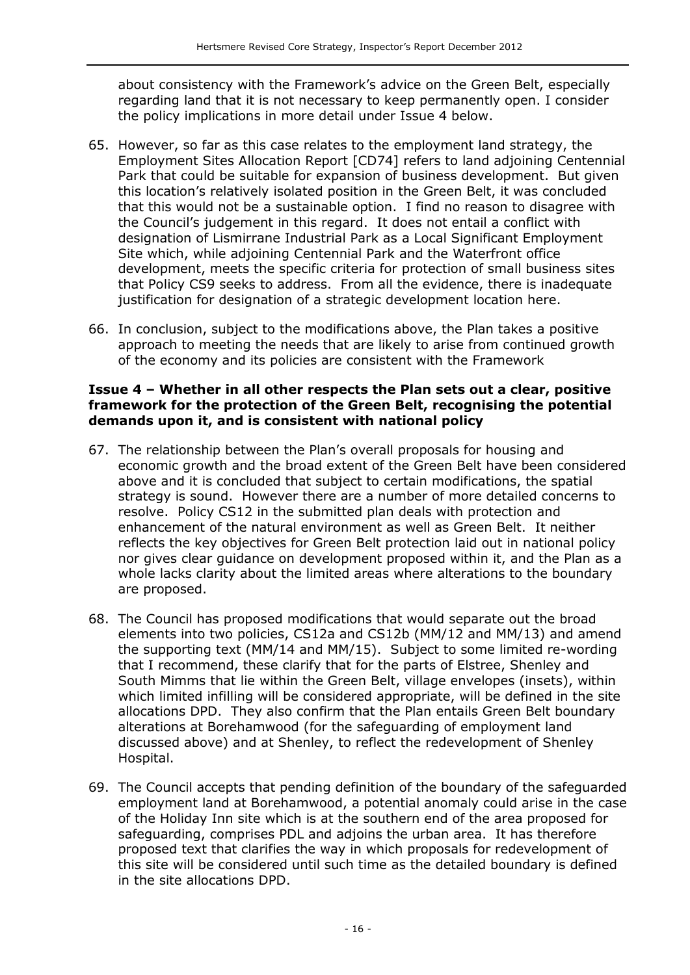about consistency with the Framework's advice on the Green Belt, especially regarding land that it is not necessary to keep permanently open. I consider the policy implications in more detail under Issue 4 below.

- 65. However, so far as this case relates to the employment land strategy, the Employment Sites Allocation Report [CD74] refers to land adjoining Centennial Park that could be suitable for expansion of business development. But given this location's relatively isolated position in the Green Belt, it was concluded that this would not be a sustainable option. I find no reason to disagree with the Council's judgement in this regard. It does not entail a conflict with designation of Lismirrane Industrial Park as a Local Significant Employment Site which, while adjoining Centennial Park and the Waterfront office development, meets the specific criteria for protection of small business sites that Policy CS9 seeks to address. From all the evidence, there is inadequate justification for designation of a strategic development location here.
- 66. In conclusion, subject to the modifications above, the Plan takes a positive approach to meeting the needs that are likely to arise from continued growth of the economy and its policies are consistent with the Framework

#### **Issue 4 – Whether in all other respects the Plan sets out a clear, positive framework for the protection of the Green Belt, recognising the potential demands upon it, and is consistent with national policy**

- 67. The relationship between the Plan's overall proposals for housing and economic growth and the broad extent of the Green Belt have been considered above and it is concluded that subject to certain modifications, the spatial strategy is sound. However there are a number of more detailed concerns to resolve. Policy CS12 in the submitted plan deals with protection and enhancement of the natural environment as well as Green Belt. It neither reflects the key objectives for Green Belt protection laid out in national policy nor gives clear guidance on development proposed within it, and the Plan as a whole lacks clarity about the limited areas where alterations to the boundary are proposed.
- 68. The Council has proposed modifications that would separate out the broad elements into two policies, CS12a and CS12b (MM/12 and MM/13) and amend the supporting text (MM/14 and MM/15). Subject to some limited re-wording that I recommend, these clarify that for the parts of Elstree, Shenley and South Mimms that lie within the Green Belt, village envelopes (insets), within which limited infilling will be considered appropriate, will be defined in the site allocations DPD. They also confirm that the Plan entails Green Belt boundary alterations at Borehamwood (for the safeguarding of employment land discussed above) and at Shenley, to reflect the redevelopment of Shenley Hospital.
- 69. The Council accepts that pending definition of the boundary of the safeguarded employment land at Borehamwood, a potential anomaly could arise in the case of the Holiday Inn site which is at the southern end of the area proposed for safeguarding, comprises PDL and adjoins the urban area. It has therefore proposed text that clarifies the way in which proposals for redevelopment of this site will be considered until such time as the detailed boundary is defined in the site allocations DPD.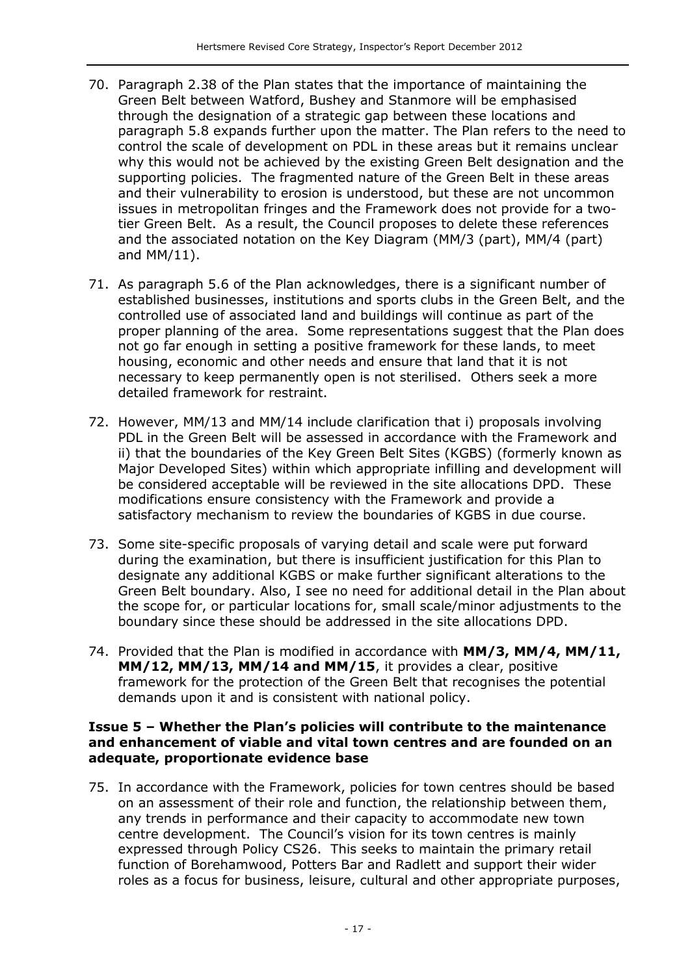- 70. Paragraph 2.38 of the Plan states that the importance of maintaining the Green Belt between Watford, Bushey and Stanmore will be emphasised through the designation of a strategic gap between these locations and paragraph 5.8 expands further upon the matter. The Plan refers to the need to control the scale of development on PDL in these areas but it remains unclear why this would not be achieved by the existing Green Belt designation and the supporting policies. The fragmented nature of the Green Belt in these areas and their vulnerability to erosion is understood, but these are not uncommon issues in metropolitan fringes and the Framework does not provide for a twotier Green Belt. As a result, the Council proposes to delete these references and the associated notation on the Key Diagram (MM/3 (part), MM/4 (part) and MM/11).
- 71. As paragraph 5.6 of the Plan acknowledges, there is a significant number of established businesses, institutions and sports clubs in the Green Belt, and the controlled use of associated land and buildings will continue as part of the proper planning of the area. Some representations suggest that the Plan does not go far enough in setting a positive framework for these lands, to meet housing, economic and other needs and ensure that land that it is not necessary to keep permanently open is not sterilised. Others seek a more detailed framework for restraint.
- 72. However, MM/13 and MM/14 include clarification that i) proposals involving PDL in the Green Belt will be assessed in accordance with the Framework and ii) that the boundaries of the Key Green Belt Sites (KGBS) (formerly known as Major Developed Sites) within which appropriate infilling and development will be considered acceptable will be reviewed in the site allocations DPD. These modifications ensure consistency with the Framework and provide a satisfactory mechanism to review the boundaries of KGBS in due course.
- 73. Some site-specific proposals of varying detail and scale were put forward during the examination, but there is insufficient justification for this Plan to designate any additional KGBS or make further significant alterations to the Green Belt boundary. Also, I see no need for additional detail in the Plan about the scope for, or particular locations for, small scale/minor adjustments to the boundary since these should be addressed in the site allocations DPD.
- 74. Provided that the Plan is modified in accordance with **MM/3, MM/4, MM/11, MM/12, MM/13, MM/14 and MM/15**, it provides a clear, positive framework for the protection of the Green Belt that recognises the potential demands upon it and is consistent with national policy.

#### **Issue 5 – Whether the Plan's policies will contribute to the maintenance and enhancement of viable and vital town centres and are founded on an adequate, proportionate evidence base**

75. In accordance with the Framework, policies for town centres should be based on an assessment of their role and function, the relationship between them, any trends in performance and their capacity to accommodate new town centre development. The Council's vision for its town centres is mainly expressed through Policy CS26. This seeks to maintain the primary retail function of Borehamwood, Potters Bar and Radlett and support their wider roles as a focus for business, leisure, cultural and other appropriate purposes,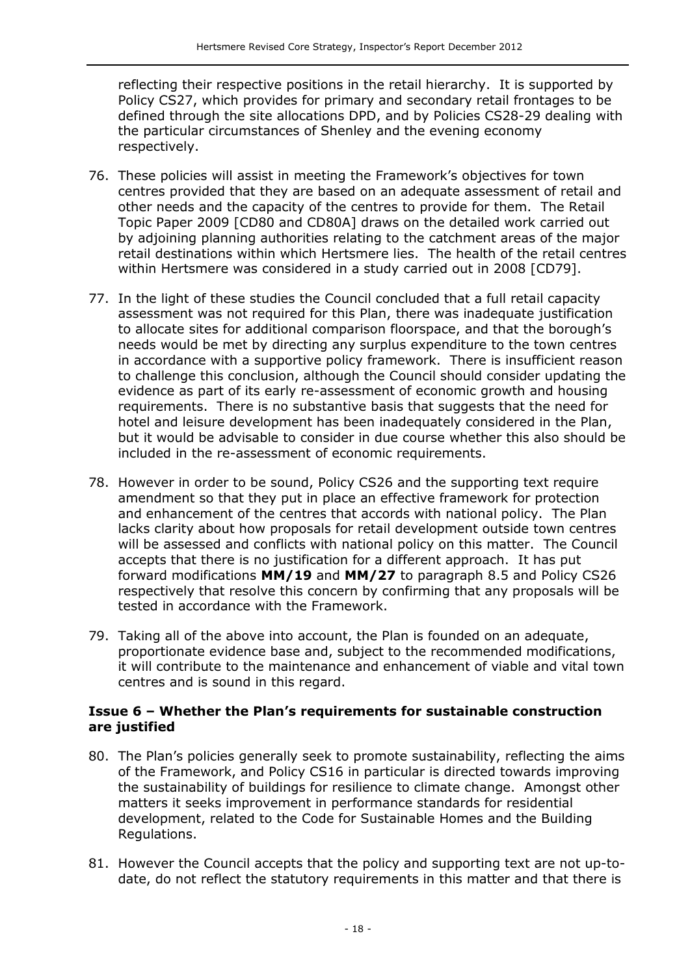reflecting their respective positions in the retail hierarchy. It is supported by Policy CS27, which provides for primary and secondary retail frontages to be defined through the site allocations DPD, and by Policies CS28-29 dealing with the particular circumstances of Shenley and the evening economy respectively.

- 76. These policies will assist in meeting the Framework's objectives for town centres provided that they are based on an adequate assessment of retail and other needs and the capacity of the centres to provide for them. The Retail Topic Paper 2009 [CD80 and CD80A] draws on the detailed work carried out by adjoining planning authorities relating to the catchment areas of the major retail destinations within which Hertsmere lies. The health of the retail centres within Hertsmere was considered in a study carried out in 2008 [CD79].
- 77. In the light of these studies the Council concluded that a full retail capacity assessment was not required for this Plan, there was inadequate justification to allocate sites for additional comparison floorspace, and that the borough's needs would be met by directing any surplus expenditure to the town centres in accordance with a supportive policy framework. There is insufficient reason to challenge this conclusion, although the Council should consider updating the evidence as part of its early re-assessment of economic growth and housing requirements. There is no substantive basis that suggests that the need for hotel and leisure development has been inadequately considered in the Plan, but it would be advisable to consider in due course whether this also should be included in the re-assessment of economic requirements.
- 78. However in order to be sound, Policy CS26 and the supporting text require amendment so that they put in place an effective framework for protection and enhancement of the centres that accords with national policy. The Plan lacks clarity about how proposals for retail development outside town centres will be assessed and conflicts with national policy on this matter. The Council accepts that there is no justification for a different approach. It has put forward modifications **MM/19** and **MM/27** to paragraph 8.5 and Policy CS26 respectively that resolve this concern by confirming that any proposals will be tested in accordance with the Framework.
- 79. Taking all of the above into account, the Plan is founded on an adequate, proportionate evidence base and, subject to the recommended modifications, it will contribute to the maintenance and enhancement of viable and vital town centres and is sound in this regard.

#### **Issue 6 – Whether the Plan's requirements for sustainable construction are justified**

- 80. The Plan's policies generally seek to promote sustainability, reflecting the aims of the Framework, and Policy CS16 in particular is directed towards improving the sustainability of buildings for resilience to climate change. Amongst other matters it seeks improvement in performance standards for residential development, related to the Code for Sustainable Homes and the Building Regulations.
- 81. However the Council accepts that the policy and supporting text are not up-todate, do not reflect the statutory requirements in this matter and that there is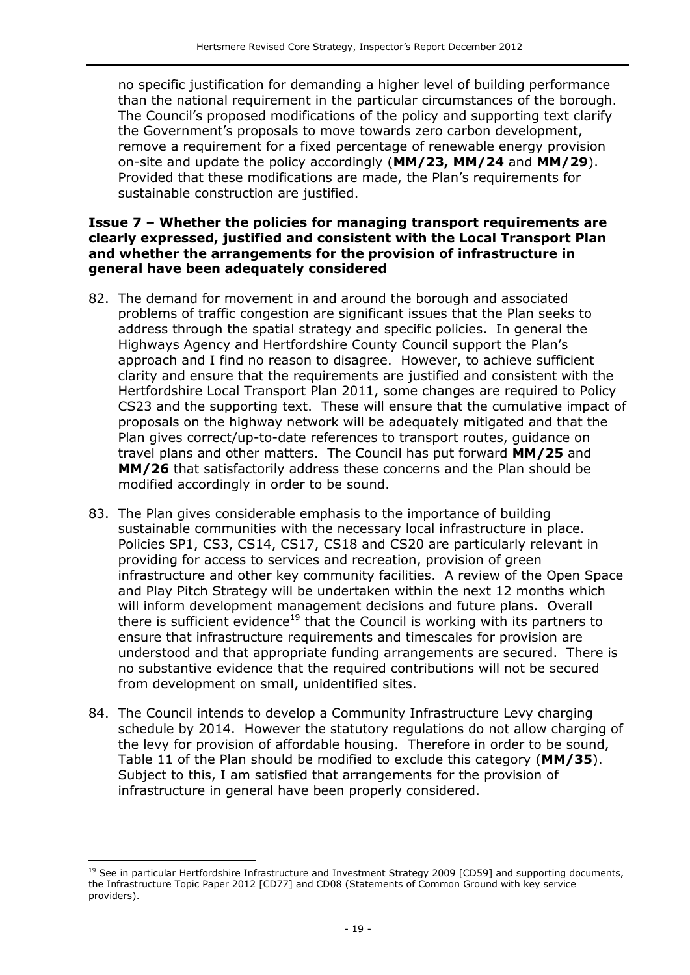no specific justification for demanding a higher level of building performance than the national requirement in the particular circumstances of the borough. The Council's proposed modifications of the policy and supporting text clarify the Government's proposals to move towards zero carbon development, remove a requirement for a fixed percentage of renewable energy provision on-site and update the policy accordingly (**MM/23, MM/24** and **MM/29**). Provided that these modifications are made, the Plan's requirements for sustainable construction are justified.

#### **Issue 7 – Whether the policies for managing transport requirements are clearly expressed, justified and consistent with the Local Transport Plan and whether the arrangements for the provision of infrastructure in general have been adequately considered**

- 82. The demand for movement in and around the borough and associated problems of traffic congestion are significant issues that the Plan seeks to address through the spatial strategy and specific policies. In general the Highways Agency and Hertfordshire County Council support the Plan's approach and I find no reason to disagree. However, to achieve sufficient clarity and ensure that the requirements are justified and consistent with the Hertfordshire Local Transport Plan 2011, some changes are required to Policy CS23 and the supporting text. These will ensure that the cumulative impact of proposals on the highway network will be adequately mitigated and that the Plan gives correct/up-to-date references to transport routes, guidance on travel plans and other matters. The Council has put forward **MM/25** and **MM/26** that satisfactorily address these concerns and the Plan should be modified accordingly in order to be sound.
- 83. The Plan gives considerable emphasis to the importance of building sustainable communities with the necessary local infrastructure in place. Policies SP1, CS3, CS14, CS17, CS18 and CS20 are particularly relevant in providing for access to services and recreation, provision of green infrastructure and other key community facilities. A review of the Open Space and Play Pitch Strategy will be undertaken within the next 12 months which will inform development management decisions and future plans. Overall there is sufficient evidence<sup>19</sup> that the Council is working with its partners to ensure that infrastructure requirements and timescales for provision are understood and that appropriate funding arrangements are secured. There is no substantive evidence that the required contributions will not be secured from development on small, unidentified sites.
- 84. The Council intends to develop a Community Infrastructure Levy charging schedule by 2014. However the statutory regulations do not allow charging of the levy for provision of affordable housing. Therefore in order to be sound, Table 11 of the Plan should be modified to exclude this category (**MM/35**). Subject to this, I am satisfied that arrangements for the provision of infrastructure in general have been properly considered.

j

<sup>&</sup>lt;sup>19</sup> See in particular Hertfordshire Infrastructure and Investment Strategy 2009 [CD59] and supporting documents, the Infrastructure Topic Paper 2012 [CD77] and CD08 (Statements of Common Ground with key service providers).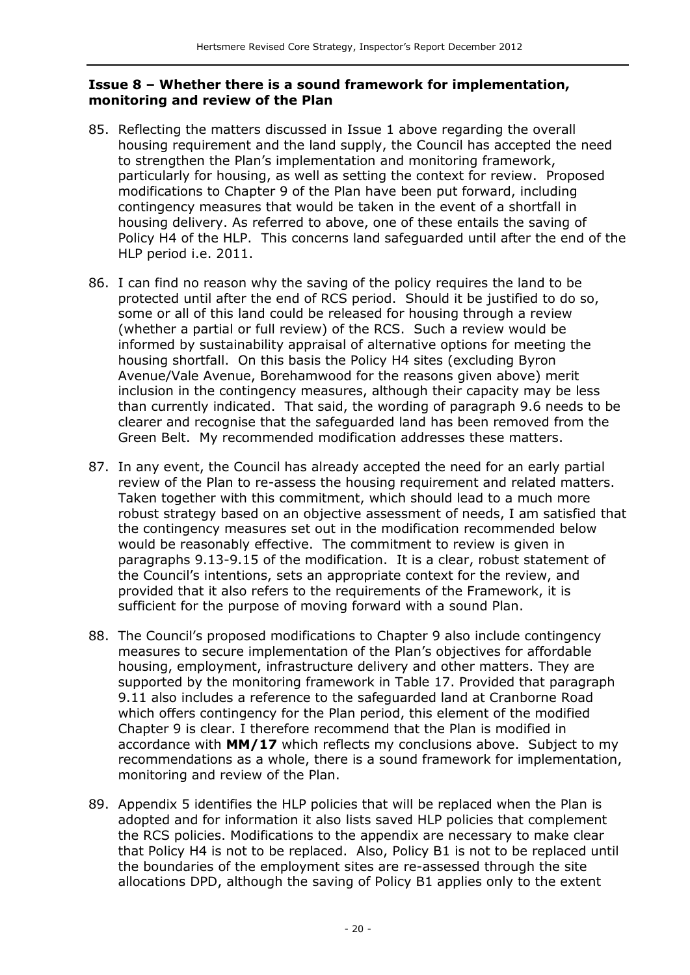#### **Issue 8 – Whether there is a sound framework for implementation, monitoring and review of the Plan**

- 85. Reflecting the matters discussed in Issue 1 above regarding the overall housing requirement and the land supply, the Council has accepted the need to strengthen the Plan's implementation and monitoring framework, particularly for housing, as well as setting the context for review. Proposed modifications to Chapter 9 of the Plan have been put forward, including contingency measures that would be taken in the event of a shortfall in housing delivery. As referred to above, one of these entails the saving of Policy H4 of the HLP. This concerns land safeguarded until after the end of the HLP period i.e. 2011.
- 86. I can find no reason why the saving of the policy requires the land to be protected until after the end of RCS period. Should it be justified to do so, some or all of this land could be released for housing through a review (whether a partial or full review) of the RCS. Such a review would be informed by sustainability appraisal of alternative options for meeting the housing shortfall. On this basis the Policy H4 sites (excluding Byron Avenue/Vale Avenue, Borehamwood for the reasons given above) merit inclusion in the contingency measures, although their capacity may be less than currently indicated. That said, the wording of paragraph 9.6 needs to be clearer and recognise that the safeguarded land has been removed from the Green Belt. My recommended modification addresses these matters.
- 87. In any event, the Council has already accepted the need for an early partial review of the Plan to re-assess the housing requirement and related matters. Taken together with this commitment, which should lead to a much more robust strategy based on an objective assessment of needs, I am satisfied that the contingency measures set out in the modification recommended below would be reasonably effective. The commitment to review is given in paragraphs 9.13-9.15 of the modification. It is a clear, robust statement of the Council's intentions, sets an appropriate context for the review, and provided that it also refers to the requirements of the Framework, it is sufficient for the purpose of moving forward with a sound Plan.
- 88. The Council's proposed modifications to Chapter 9 also include contingency measures to secure implementation of the Plan's objectives for affordable housing, employment, infrastructure delivery and other matters. They are supported by the monitoring framework in Table 17. Provided that paragraph 9.11 also includes a reference to the safeguarded land at Cranborne Road which offers contingency for the Plan period, this element of the modified Chapter 9 is clear. I therefore recommend that the Plan is modified in accordance with **MM/17** which reflects my conclusions above. Subject to my recommendations as a whole, there is a sound framework for implementation, monitoring and review of the Plan.
- 89. Appendix 5 identifies the HLP policies that will be replaced when the Plan is adopted and for information it also lists saved HLP policies that complement the RCS policies. Modifications to the appendix are necessary to make clear that Policy H4 is not to be replaced. Also, Policy B1 is not to be replaced until the boundaries of the employment sites are re-assessed through the site allocations DPD, although the saving of Policy B1 applies only to the extent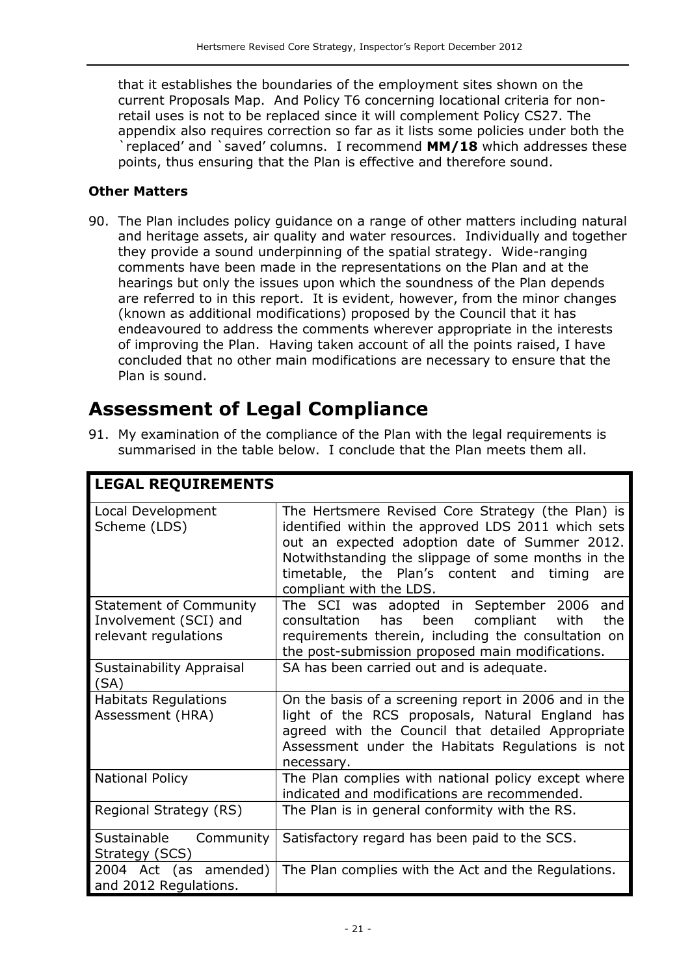that it establishes the boundaries of the employment sites shown on the current Proposals Map. And Policy T6 concerning locational criteria for nonretail uses is not to be replaced since it will complement Policy CS27. The appendix also requires correction so far as it lists some policies under both the `replaced' and `saved' columns. I recommend **MM/18** which addresses these points, thus ensuring that the Plan is effective and therefore sound.

#### **Other Matters**

90. The Plan includes policy guidance on a range of other matters including natural and heritage assets, air quality and water resources. Individually and together they provide a sound underpinning of the spatial strategy. Wide-ranging comments have been made in the representations on the Plan and at the hearings but only the issues upon which the soundness of the Plan depends are referred to in this report. It is evident, however, from the minor changes (known as additional modifications) proposed by the Council that it has endeavoured to address the comments wherever appropriate in the interests of improving the Plan. Having taken account of all the points raised, I have concluded that no other main modifications are necessary to ensure that the Plan is sound.

### **Assessment of Legal Compliance**

91. My examination of the compliance of the Plan with the legal requirements is summarised in the table below. I conclude that the Plan meets them all.

| <b>LEGAL REQUIREMENTS</b>                                                      |                                                                                                                                                                                                                                                                                              |  |  |
|--------------------------------------------------------------------------------|----------------------------------------------------------------------------------------------------------------------------------------------------------------------------------------------------------------------------------------------------------------------------------------------|--|--|
| Local Development<br>Scheme (LDS)                                              | The Hertsmere Revised Core Strategy (the Plan) is<br>identified within the approved LDS 2011 which sets<br>out an expected adoption date of Summer 2012.<br>Notwithstanding the slippage of some months in the<br>timetable, the Plan's content and timing<br>are<br>compliant with the LDS. |  |  |
| <b>Statement of Community</b><br>Involvement (SCI) and<br>relevant regulations | The SCI was adopted in September 2006<br>and<br>consultation has<br>been<br>compliant<br>with<br>the<br>requirements therein, including the consultation on<br>the post-submission proposed main modifications.                                                                              |  |  |
| Sustainability Appraisal<br>(SA)                                               | SA has been carried out and is adequate.                                                                                                                                                                                                                                                     |  |  |
| <b>Habitats Regulations</b><br>Assessment (HRA)                                | On the basis of a screening report in 2006 and in the<br>light of the RCS proposals, Natural England has<br>agreed with the Council that detailed Appropriate<br>Assessment under the Habitats Regulations is not<br>necessary.                                                              |  |  |
| <b>National Policy</b>                                                         | The Plan complies with national policy except where<br>indicated and modifications are recommended.                                                                                                                                                                                          |  |  |
| Regional Strategy (RS)                                                         | The Plan is in general conformity with the RS.                                                                                                                                                                                                                                               |  |  |
| Sustainable<br>Community<br>Strategy (SCS)                                     | Satisfactory regard has been paid to the SCS.                                                                                                                                                                                                                                                |  |  |
| 2004 Act (as amended)<br>and 2012 Regulations.                                 | The Plan complies with the Act and the Regulations.                                                                                                                                                                                                                                          |  |  |